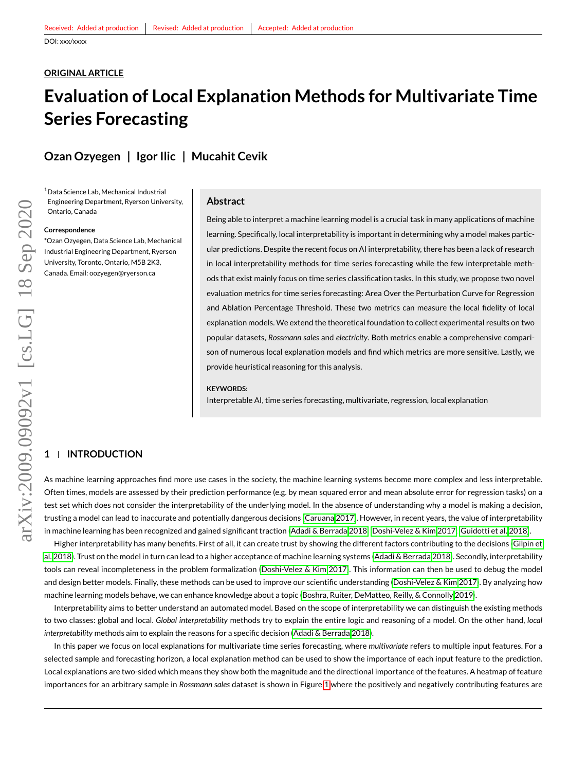# **ORIGINAL ARTICLE**

# **Evaluation of Local Explanation Methods for Multivariate Time Series Forecasting**

# **Ozan Ozyegen | Igor Ilic | Mucahit Cevik**

<sup>1</sup>Data Science Lab, Mechanical Industrial Engineering Department, Ryerson University, Ontario, Canada

# **Correspondence**

\*Ozan Ozyegen, Data Science Lab, Mechanical Industrial Engineering Department, Ryerson University, Toronto, Ontario, M5B 2K3, Canada. Email: oozyegen@ryerson.ca

#### **Abstract**

Being able to interpret a machine learning model is a crucial task in many applications of machine learning. Specifically, local interpretability is important in determining why a model makes particular predictions. Despite the recent focus on AI interpretability, there has been a lack of research in local interpretability methods for time series forecasting while the few interpretable methods that exist mainly focus on time series classification tasks. In this study, we propose two novel evaluation metrics for time series forecasting: Area Over the Perturbation Curve for Regression and Ablation Percentage Threshold. These two metrics can measure the local fidelity of local explanation models. We extend the theoretical foundation to collect experimental results on two popular datasets, *Rossmann sales* and *electricity*. Both metrics enable a comprehensive comparison of numerous local explanation models and find which metrics are more sensitive. Lastly, we provide heuristical reasoning for this analysis.

#### **KEYWORDS:**

Interpretable AI, time series forecasting, multivariate, regression, local explanation

# **1 INTRODUCTION**

As machine learning approaches find more use cases in the society, the machine learning systems become more complex and less interpretable. Often times, models are assessed by their prediction performance (e.g. by mean squared error and mean absolute error for regression tasks) on a test set which does not consider the interpretability of the underlying model. In the absence of understanding why a model is making a decision, trusting a model can lead to inaccurate and potentially dangerous decisions [\(Caruana 2017\)](#page-11-0). However, in recent years, the value of interpretability in machine learning has been recognized and gained significant traction [\(Adadi & Berrada 2018;](#page-11-1) [Doshi-Velez & Kim 2017;](#page-11-2) [Guidotti et al. 2018\)](#page-12-0).

Higher interpretability has many benefits. First of all, it can create trust by showing the different factors contributing to the decisions [\(Gilpin et](#page-11-3) [al. 2018\)](#page-11-3). Trust on the model in turn can lead to a higher acceptance of machine learning systems [\(Adadi & Berrada 2018\)](#page-11-1). Secondly, interpretability tools can reveal incompleteness in the problem formalization [\(Doshi-Velez & Kim 2017\)](#page-11-2). This information can then be used to debug the model and design better models. Finally, these methods can be used to improve our scientific understanding [\(Doshi-Velez & Kim 2017\)](#page-11-2). By analyzing how machine learning models behave, we can enhance knowledge about a topic [\(Boshra, Ruiter, DeMatteo, Reilly, & Connolly 2019\)](#page-11-4).

Interpretability aims to better understand an automated model. Based on the scope of interpretability we can distinguish the existing methods to two classes: global and local. *Global interpretability* methods try to explain the entire logic and reasoning of a model. On the other hand, *local interpretability* methods aim to explain the reasons for a specific decision [\(Adadi & Berrada 2018\)](#page-11-1).

In this paper we focus on local explanations for multivariate time series forecasting, where *multivariate* refers to multiple input features. For a selected sample and forecasting horizon, a local explanation method can be used to show the importance of each input feature to the prediction. Local explanations are two-sided which means they show both the magnitude and the directional importance of the features. A heatmap of feature importances for an arbitrary sample in *Rossmann sales* dataset is shown in Figure [1](#page-1-0) where the positively and negatively contributing features are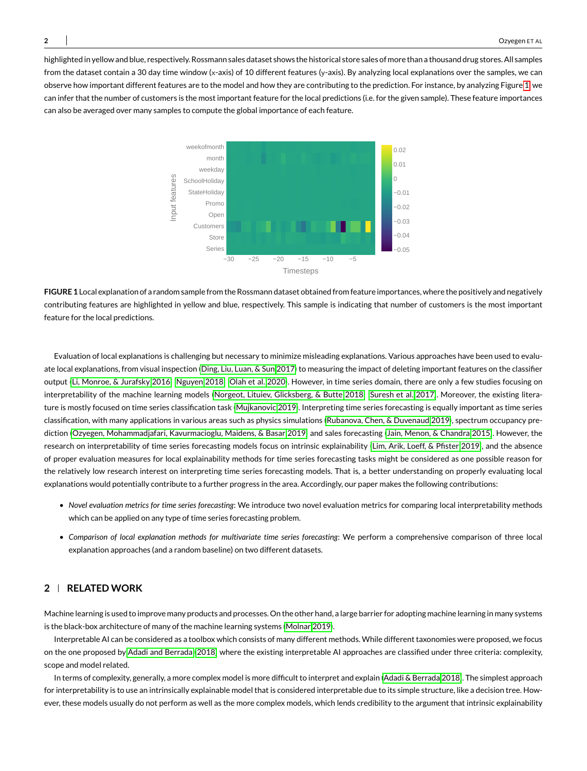<span id="page-1-0"></span>highlighted in yellow and blue, respectively. Rossmann sales dataset shows the historical store sales of more than a thousand drug stores. All samples from the dataset contain a 30 day time window (x-axis) of 10 different features (y-axis). By analyzing local explanations over the samples, we can observe how important different features are to the model and how they are contributing to the prediction. For instance, by analyzing Figure [1,](#page-1-0) we can infer that the number of customers is the most important feature for the local predictions (i.e. for the given sample). These feature importances can also be averaged over many samples to compute the global importance of each feature.



**FIGURE 1** Local explanation of a random sample from the Rossmann dataset obtained from feature importances, where the positively and negatively contributing features are highlighted in yellow and blue, respectively. This sample is indicating that number of customers is the most important feature for the local predictions.

Evaluation of local explanations is challenging but necessary to minimize misleading explanations. Various approaches have been used to evaluate local explanations, from visual inspection [\(Ding, Liu, Luan, & Sun 2017\)](#page-11-5) to measuring the impact of deleting important features on the classifier output [\(Li, Monroe, & Jurafsky 2016;](#page-12-1) [Nguyen 2018;](#page-12-2) [Olah et al. 2020\)](#page-12-3). However, in time series domain, there are only a few studies focusing on interpretability of the machine learning models [\(Norgeot, Lituiev, Glicksberg, & Butte 2018;](#page-12-4) [Suresh et al. 2017\)](#page-12-5). Moreover, the existing literature is mostly focused on time series classification task [\(Mujkanovic 2019\)](#page-12-6). Interpreting time series forecasting is equally important as time series classification, with many applications in various areas such as physics simulations [\(Rubanova, Chen, & Duvenaud 2019\)](#page-12-7), spectrum occupancy prediction [\(Ozyegen, Mohammadjafari, Kavurmacioglu, Maidens, & Basar 2019\)](#page-12-8) and sales forecasting [\(Jain, Menon, & Chandra 2015\)](#page-12-9). However, the research on interpretability of time series forecasting models focus on intrinsic explainability [\(Lim, Arik, Loeff, & Pfister 2019\)](#page-12-10), and the absence of proper evaluation measures for local explainability methods for time series forecasting tasks might be considered as one possible reason for the relatively low research interest on interpreting time series forecasting models. That is, a better understanding on properly evaluating local explanations would potentially contribute to a further progress in the area. Accordingly, our paper makes the following contributions:

- *Novel evaluation metrics for time series forecasting*: We introduce two novel evaluation metrics for comparing local interpretability methods which can be applied on any type of time series forecasting problem.
- *Comparison of local explanation methods for multivariate time series forecasting*: We perform a comprehensive comparison of three local explanation approaches (and a random baseline) on two different datasets.

# **2 RELATED WORK**

Machine learning is used to improve many products and processes. On the other hand, a large barrier for adopting machine learning in many systems is the black-box architecture of many of the machine learning systems [\(Molnar 2019\)](#page-12-11).

Interpretable AI can be considered as a toolbox which consists of many different methods. While different taxonomies were proposed, we focus on the one proposed by [Adadi and Berrada](#page-11-1) [\(2018\)](#page-11-1) where the existing interpretable AI approaches are classified under three criteria: complexity, scope and model related.

In terms of complexity, generally, a more complex model is more difficult to interpret and explain [\(Adadi & Berrada 2018\)](#page-11-1). The simplest approach for interpretability is to use an intrinsically explainable model that is considered interpretable due to its simple structure, like a decision tree. However, these models usually do not perform as well as the more complex models, which lends credibility to the argument that intrinsic explainability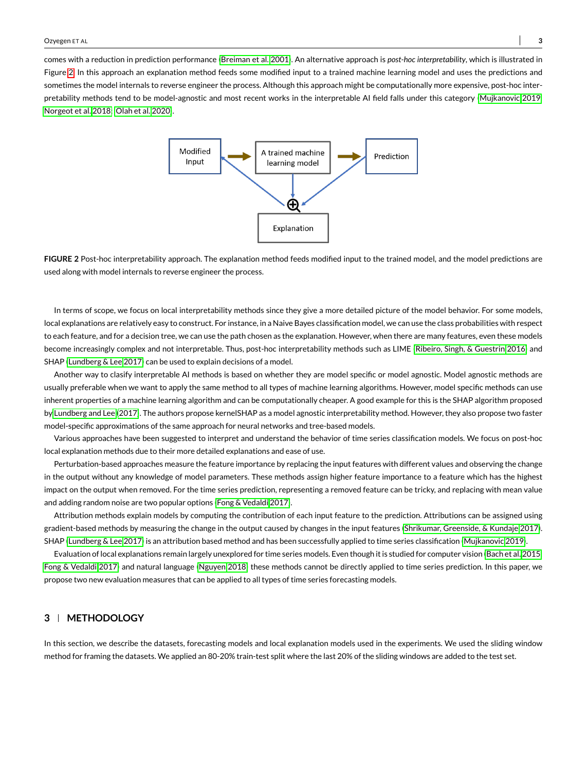<span id="page-2-0"></span>comes with a reduction in prediction performance [\(Breiman et al. 2001\)](#page-11-6). An alternative approach is *post-hoc interpretability*, which is illustrated in Figure [2.](#page-2-0) In this approach an explanation method feeds some modified input to a trained machine learning model and uses the predictions and sometimes the model internals to reverse engineer the process. Although this approach might be computationally more expensive, post-hoc inter-pretability methods tend to be model-agnostic and most recent works in the interpretable AI field falls under this category [\(Mujkanovic 2019;](#page-12-6) [Norgeot et al. 2018;](#page-12-4) [Olah et al. 2020\)](#page-12-3).



**FIGURE 2** Post-hoc interpretability approach. The explanation method feeds modified input to the trained model, and the model predictions are used along with model internals to reverse engineer the process.

In terms of scope, we focus on local interpretability methods since they give a more detailed picture of the model behavior. For some models, local explanations are relatively easy to construct. For instance, in a Naive Bayes classification model, we can use the class probabilities with respect to each feature, and for a decision tree, we can use the path chosen as the explanation. However, when there are many features, even these models become increasingly complex and not interpretable. Thus, post-hoc interpretability methods such as LIME [\(Ribeiro, Singh, & Guestrin 2016\)](#page-12-12) and SHAP [\(Lundberg & Lee 2017\)](#page-12-13) can be used to explain decisions of a model.

Another way to clasify interpretable AI methods is based on whether they are model specific or model agnostic. Model agnostic methods are usually preferable when we want to apply the same method to all types of machine learning algorithms. However, model specific methods can use inherent properties of a machine learning algorithm and can be computationally cheaper. A good example for this is the SHAP algorithm proposed by [Lundberg and Lee](#page-12-13) [\(2017\)](#page-12-13). The authors propose kernelSHAP as a model agnostic interpretability method. However, they also propose two faster model-specific approximations of the same approach for neural networks and tree-based models.

Various approaches have been suggested to interpret and understand the behavior of time series classification models. We focus on post-hoc local explanation methods due to their more detailed explanations and ease of use.

Perturbation-based approaches measure the feature importance by replacing the input features with different values and observing the change in the output without any knowledge of model parameters. These methods assign higher feature importance to a feature which has the highest impact on the output when removed. For the time series prediction, representing a removed feature can be tricky, and replacing with mean value and adding random noise are two popular options [\(Fong & Vedaldi 2017\)](#page-11-7).

Attribution methods explain models by computing the contribution of each input feature to the prediction. Attributions can be assigned using gradient-based methods by measuring the change in the output caused by changes in the input features [\(Shrikumar, Greenside, & Kundaje 2017\)](#page-12-14). SHAP [\(Lundberg & Lee 2017\)](#page-12-13) is an attribution based method and has been successfully applied to time series classification [\(Mujkanovic 2019\)](#page-12-6).

Evaluation of local explanations remain largely unexplored for time series models. Even though it is studied for computer vision [\(Bach et al. 2015;](#page-11-8) [Fong & Vedaldi 2017\)](#page-11-7) and natural language [\(Nguyen 2018\)](#page-12-2) these methods cannot be directly applied to time series prediction. In this paper, we propose two new evaluation measures that can be applied to all types of time series forecasting models.

# **3 METHODOLOGY**

In this section, we describe the datasets, forecasting models and local explanation models used in the experiments. We used the sliding window method for framing the datasets. We applied an 80-20% train-test split where the last 20% of the sliding windows are added to the test set.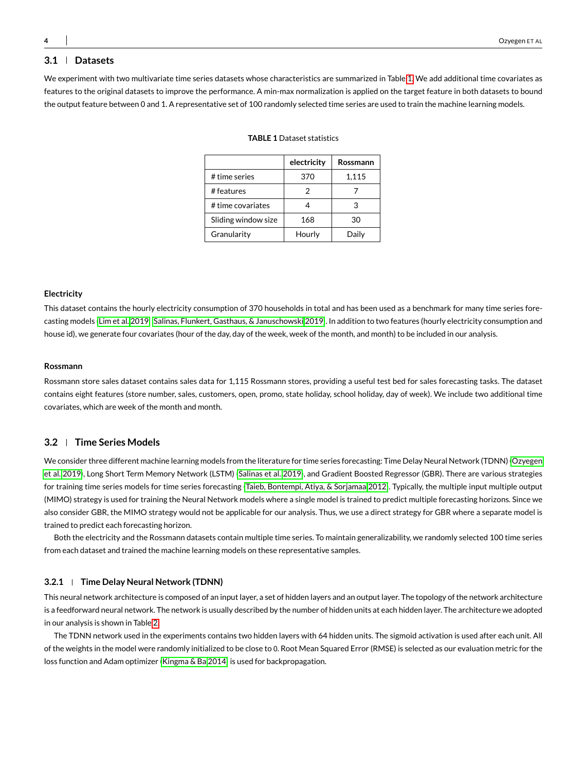# **3.1 Datasets**

<span id="page-3-0"></span>We experiment with two multivariate time series datasets whose characteristics are summarized in Table [1.](#page-3-0) We add additional time covariates as features to the original datasets to improve the performance. A min-max normalization is applied on the target feature in both datasets to bound the output feature between 0 and 1. A representative set of 100 randomly selected time series are used to train the machine learning models.

|                     | electricity | Rossmann |
|---------------------|-------------|----------|
| # time series       | 370         | 1,115    |
| # features          |             |          |
| # time covariates   |             | З        |
| Sliding window size | 168         | 30       |
| Granularity         | Hourly      | Daily    |

#### **TABLE 1** Dataset statistics

#### **Electricity**

This dataset contains the hourly electricity consumption of 370 households in total and has been used as a benchmark for many time series forecasting models [\(Lim et al. 2019;](#page-12-10) [Salinas, Flunkert, Gasthaus, & Januschowski 2019\)](#page-12-15). In addition to two features (hourly electricity consumption and house id), we generate four covariates (hour of the day, day of the week, week of the month, and month) to be included in our analysis.

#### **Rossmann**

Rossmann store sales dataset contains sales data for 1,115 Rossmann stores, providing a useful test bed for sales forecasting tasks. The dataset contains eight features (store number, sales, customers, open, promo, state holiday, school holiday, day of week). We include two additional time covariates, which are week of the month and month.

# **3.2 Time Series Models**

We consider three different machine learning models from the literature for time series forecasting: Time Delay Neural Network (TDNN) [\(Ozyegen](#page-12-8) [et al. 2019\)](#page-12-8), Long Short Term Memory Network (LSTM) [\(Salinas et al. 2019\)](#page-12-15), and Gradient Boosted Regressor (GBR). There are various strategies for training time series models for time series forecasting [\(Taieb, Bontempi, Atiya, & Sorjamaa 2012\)](#page-12-16). Typically, the multiple input multiple output (MIMO) strategy is used for training the Neural Network models where a single model is trained to predict multiple forecasting horizons. Since we also consider GBR, the MIMO strategy would not be applicable for our analysis. Thus, we use a direct strategy for GBR where a separate model is trained to predict each forecasting horizon.

Both the electricity and the Rossmann datasets contain multiple time series. To maintain generalizability, we randomly selected 100 time series from each dataset and trained the machine learning models on these representative samples.

#### **3.2.1 Time Delay Neural Network (TDNN)**

This neural network architecture is composed of an input layer, a set of hidden layers and an output layer. The topology of the network architecture is a feedforward neural network. The network is usually described by the number of hidden units at each hidden layer. The architecture we adopted in our analysis is shown in Table [2.](#page-4-0)

The TDNN network used in the experiments contains two hidden layers with 64 hidden units. The sigmoid activation is used after each unit. All of the weights in the model were randomly initialized to be close to 0. Root Mean Squared Error (RMSE) is selected as our evaluation metric for the loss function and Adam optimizer [\(Kingma & Ba 2014\)](#page-12-17) is used for backpropagation.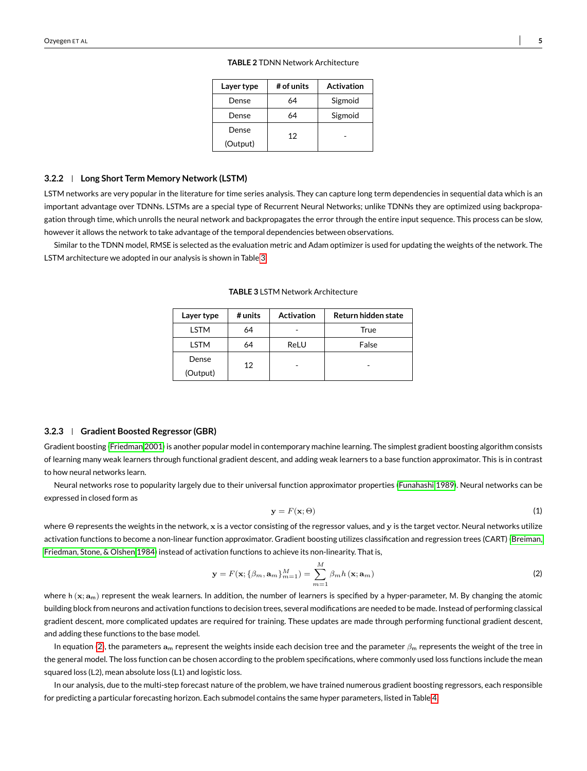| Layer type | # of units | <b>Activation</b> |
|------------|------------|-------------------|
| Dense      | 64         | Sigmoid           |
| Dense      | 64         | Sigmoid           |
| Dense      | 12         |                   |
| (Output)   |            |                   |

**TABLE 2** TDNN Network Architecture

# <span id="page-4-0"></span>**3.2.2 Long Short Term Memory Network (LSTM)**

LSTM networks are very popular in the literature for time series analysis. They can capture long term dependencies in sequential data which is an important advantage over TDNNs. LSTMs are a special type of Recurrent Neural Networks; unlike TDNNs they are optimized using backpropagation through time, which unrolls the neural network and backpropagates the error through the entire input sequence. This process can be slow, however it allows the network to take advantage of the temporal dependencies between observations.

<span id="page-4-1"></span>Similar to the TDNN model, RMSE is selected as the evaluation metric and Adam optimizer is used for updating the weights of the network. The LSTM architecture we adopted in our analysis is shown in Table [3.](#page-4-1)

| Layer type  | # units | <b>Activation</b> | Return hidden state |
|-------------|---------|-------------------|---------------------|
| <b>LSTM</b> | 64      |                   | True                |
| <b>LSTM</b> | 64      | ReLU              | False               |
| Dense       | 12      |                   |                     |
| (Output)    |         |                   |                     |

**TABLE 3** LSTM Network Architecture

#### **3.2.3 Gradient Boosted Regressor (GBR)**

Gradient boosting [\(Friedman 2001\)](#page-11-9) is another popular model in contemporary machine learning. The simplest gradient boosting algorithm consists of learning many weak learners through functional gradient descent, and adding weak learners to a base function approximator. This is in contrast to how neural networks learn.

Neural networks rose to popularity largely due to their universal function approximator properties [\(Funahashi 1989\)](#page-11-10). Neural networks can be expressed in closed form as

<span id="page-4-2"></span>
$$
y = F(x; \Theta) \tag{1}
$$

where Θ represents the weights in the network, x is a vector consisting of the regressor values, and y is the target vector. Neural networks utilize activation functions to become a non-linear function approximator. Gradient boosting utilizes classification and regression trees (CART) [\(Breiman,](#page-11-11) [Friedman, Stone, & Olshen 1984\)](#page-11-11) instead of activation functions to achieve its non-linearity. That is,

$$
\mathbf{y} = F(\mathbf{x}; \{\beta_m, \mathbf{a}_m\}_{m=1}^M) = \sum_{m=1}^M \beta_m h(\mathbf{x}; \mathbf{a}_m)
$$
\n(2)

where h  $(x; a_m)$  represent the weak learners. In addition, the number of learners is specified by a hyper-parameter, M. By changing the atomic building block from neurons and activation functions to decision trees, several modifications are needed to be made. Instead of performing classical gradient descent, more complicated updates are required for training. These updates are made through performing functional gradient descent, and adding these functions to the base model.

In equation [\(2\)](#page-4-2), the parameters  $a_m$  represent the weights inside each decision tree and the parameter  $\beta_m$  represents the weight of the tree in the general model. The loss function can be chosen according to the problem specifications, where commonly used loss functions include the mean squared loss (L2), mean absolute loss (L1) and logistic loss.

In our analysis, due to the multi-step forecast nature of the problem, we have trained numerous gradient boosting regressors, each responsible for predicting a particular forecasting horizon. Each submodel contains the same hyper parameters, listed in Table [4.](#page-5-0)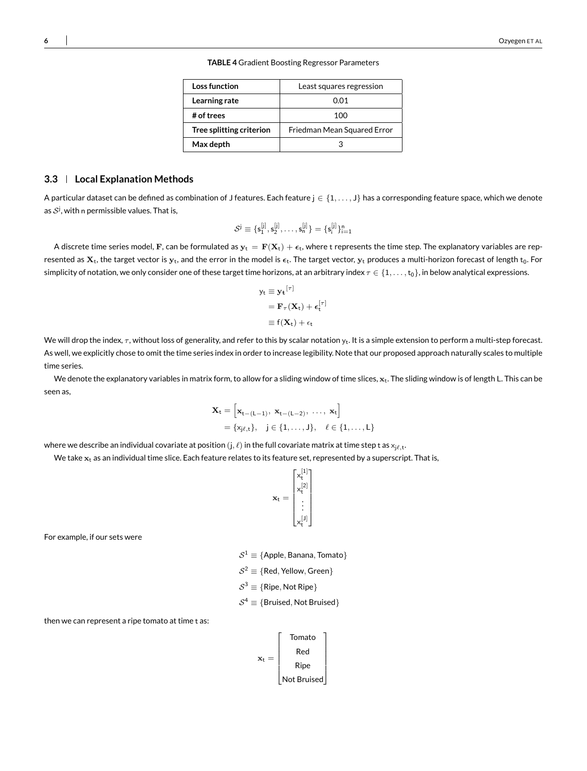**TABLE 4** Gradient Boosting Regressor Parameters

| Loss function            | Least squares regression    |
|--------------------------|-----------------------------|
| Learning rate            | 0.01                        |
| # of trees               | 100                         |
| Tree splitting criterion | Friedman Mean Squared Error |
| Max depth                | R                           |

# <span id="page-5-0"></span>**3.3 Local Explanation Methods**

A particular dataset can be defined as combination of J features. Each feature j ∈ {1, . . . , J} has a corresponding feature space, which we denote as  $\mathcal{S}^{\text{j}},$  with n permissible values. That is,

$$
\mathcal{S}^j \equiv \{s^{[j]}_1, s^{[j]}_2, \ldots, s^{[j]}_n\} = \{s^{[j]}_i\}_{i=1}^n
$$

A discrete time series model, F, can be formulated as  $y_t = F(X_t) + \epsilon_t$ , where t represents the time step. The explanatory variables are represented as  $X_t$ , the target vector is  $y_t$ , and the error in the model is  $\epsilon_t$ . The target vector,  $y_t$  produces a multi-horizon forecast of length  $t_0$ . For simplicity of notation, we only consider one of these target time horizons, at an arbitrary index  $\tau \in \{1,\ldots,t_0\}$ , in below analytical expressions.

$$
y_{t} \equiv y_{t}^{[\tau]}
$$

$$
= \mathbf{F}_{\tau}(\mathbf{X}_{t}) + \epsilon_{t}^{[\tau]}
$$

$$
\equiv f(\mathbf{X}_{t}) + \epsilon_{t}
$$

We will drop the index,  $\tau$ , without loss of generality, and refer to this by scalar notation  $y_t$ . It is a simple extension to perform a multi-step forecast. As well, we explicitly chose to omit the time series index in order to increase legibility. Note that our proposed approach naturally scales to multiple time series.

We denote the explanatory variables in matrix form, to allow for a sliding window of time slices,  $x_t$ . The sliding window is of length L. This can be seen as,

$$
\begin{aligned} \mathbf{X}_t &= \left[ \mathbf{x}_{t-(L-1)}, \ \mathbf{x}_{t-(L-2)}, \ \ldots, \ \mathbf{x}_t \right] \\ &= \{ x_{j\ell, t} \}, \quad j \in \{1, \ldots, J \}, \quad \ell \in \{1, \ldots, L \} \end{aligned}
$$

where we describe an individual covariate at position  $({\rm j},\ell)$  in the full covariate matrix at time step t as  ${\rm x}_{j\ell, {\rm t}}.$ 

We take  $x_t$  as an individual time slice. Each feature relates to its feature set, represented by a superscript. That is,

$$
\mathbf{x}_t = \begin{bmatrix} x_t^{[1]} \\ x_t^{[2]} \\ \vdots \\ x_t^{[J]} \end{bmatrix}
$$

 $\frac{1}{2}$  [1]  $\frac{1}{2}$ 

For example, if our sets were

 $\mathcal{S}^1 \equiv \{ \mathsf{Apple}, \mathsf{Banana}, \mathsf{Tomato} \}$  $\mathcal{S}^2 \equiv \{ \mathsf{Red}, \mathsf{Yellow}, \mathsf{Green} \}$  $\mathcal{S}^3 \equiv \{ \mathsf{Ripe}, \mathsf{Not\, \mathsf{Ripe} \}$  $S^4 \equiv \{\text{Bruised}, \text{Not Bruised}\}$ 

then we can represent a ripe tomato at time t as:

$$
\mathbf{x}_{t} = \begin{bmatrix} \text{Tomato} \\ \text{Red} \\ \text{Ripe} \\ \text{Not Bruised} \end{bmatrix}
$$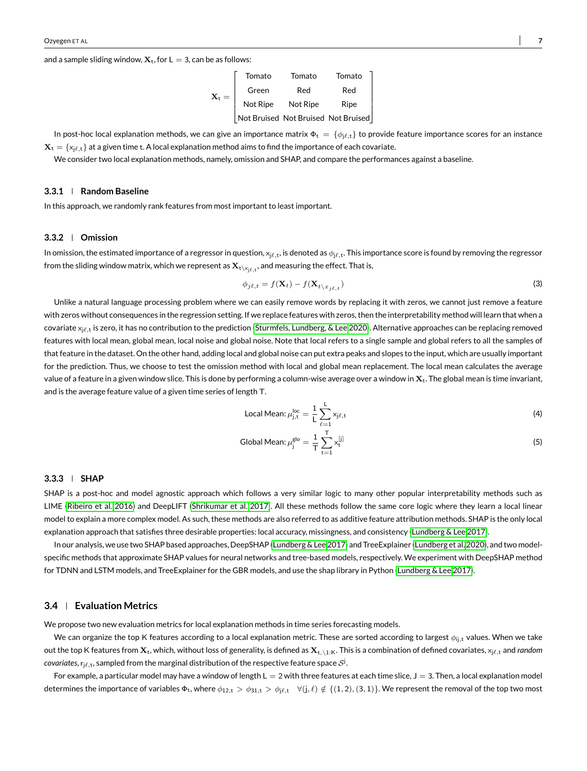and a sample sliding window,  $X_t$ , for  $L = 3$ , can be as follows:

|         | Tomato   | Tomato   | Tomato                              |
|---------|----------|----------|-------------------------------------|
| $X_t =$ | Green    | Red      | Red                                 |
|         | Not Ripe | Not Ripe | Ripe                                |
|         |          |          | Not Bruised Not Bruised Not Bruised |

In post-hoc local explanation methods, we can give an importance matrix  $\Phi_t = \{\phi_{i\ell,t}\}\$  to provide feature importance scores for an instance  $\mathbf{X}_t = \{x_{i,t,t}\}\$ at a given time t. A local explanation method aims to find the importance of each covariate.

We consider two local explanation methods, namely, omission and SHAP, and compare the performances against a baseline.

# **3.3.1 Random Baseline**

In this approach, we randomly rank features from most important to least important.

# **3.3.2 Omission**

In omission, the estimated importance of a regressor in question,  $\mathsf{x}_{j\ell,\mathsf{t}}$ , is denoted as  $\phi_{j\ell,\mathsf{t}}.$  This importance score is found by removing the regressor from the sliding window matrix, which we represent as  $\mathbf{X}_{\mathsf{t} \setminus \mathsf{x}_{j\ell,t}}$ , and measuring the effect. That is,

$$
\phi_{j\ell,t} = f(\mathbf{X}_t) - f(\mathbf{X}_{t \setminus x_{j\ell,t}}) \tag{3}
$$

Unlike a natural language processing problem where we can easily remove words by replacing it with zeros, we cannot just remove a feature with zeros without consequences in the regression setting. If we replace features with zeros, then the interpretability method will learn that when a covariate x<sub>je.t</sub> is zero, it has no contribution to the prediction [\(Sturmfels, Lundberg, & Lee 2020\)](#page-12-18). Alternative approaches can be replacing removed features with local mean, global mean, local noise and global noise. Note that local refers to a single sample and global refers to all the samples of that feature in the dataset. On the other hand, adding local and global noise can put extra peaks and slopes to the input, which are usually important for the prediction. Thus, we choose to test the omission method with local and global mean replacement. The local mean calculates the average value of a feature in a given window slice. This is done by performing a column-wise average over a window in  $X_t$ . The global mean is time invariant, and is the average feature value of a given time series of length T.

Local Mean: 
$$
\mu_{j,t}^{loc} = \frac{1}{L} \sum_{\ell=1}^{L} x_{j\ell,t}
$$
 (4)

Global Mean: 
$$
\mu_j^{\text{glo}} = \frac{1}{T} \sum_{t=1}^{T} x_t^{[j]}
$$
 (5)

#### **3.3.3 SHAP**

SHAP is a post-hoc and model agnostic approach which follows a very similar logic to many other popular interpretability methods such as LIME [\(Ribeiro et al. 2016\)](#page-12-12) and DeepLIFT [\(Shrikumar et al. 2017\)](#page-12-14). All these methods follow the same core logic where they learn a local linear model to explain a more complex model. As such, these methods are also referred to as additive feature attribution methods. SHAP is the only local explanation approach that satisfies three desirable properties: local accuracy, missingness, and consistency [\(Lundberg & Lee 2017\)](#page-12-13).

In our analysis, we use two SHAP based approaches, DeepSHAP [\(Lundberg & Lee 2017\)](#page-12-13) and TreeExplainer [\(Lundberg et al. 2020\)](#page-12-19), and two modelspecific methods that approximate SHAP values for neural networks and tree-based models, respectively. We experiment with DeepSHAP method for TDNN and LSTM models, and TreeExplainer for the GBR models, and use the shap library in Python [\(Lundberg & Lee 2017\)](#page-12-13).

# **3.4 Evaluation Metrics**

We propose two new evaluation metrics for local explanation methods in time series forecasting models.

We can organize the top K features according to a local explanation metric. These are sorted according to largest  $\phi_{ij,t}$  values. When we take out the top K features from  $X_t$ , which, without loss of generality, is defined as  $X_{t,\lambda,1:k}$ . This is a combination of defined covariates,  $x_{i\ell,t}$  and *random*  $\,$  covariates,  $\rm r_{j\ell,t}$ , sampled from the marginal distribution of the respective feature space  $\cal S^j$ .

For example, a particular model may have a window of length  $L = 2$  with three features at each time slice,  $J = 3$ . Then, a local explanation model determines the importance of variables  $\Phi_t$ , where  $\phi_{12,t} > \phi_{31,t} > \phi_{j\ell,t}$   $\forall (j,\ell) \notin \{(1,2),(3,1)\}$ . We represent the removal of the top two most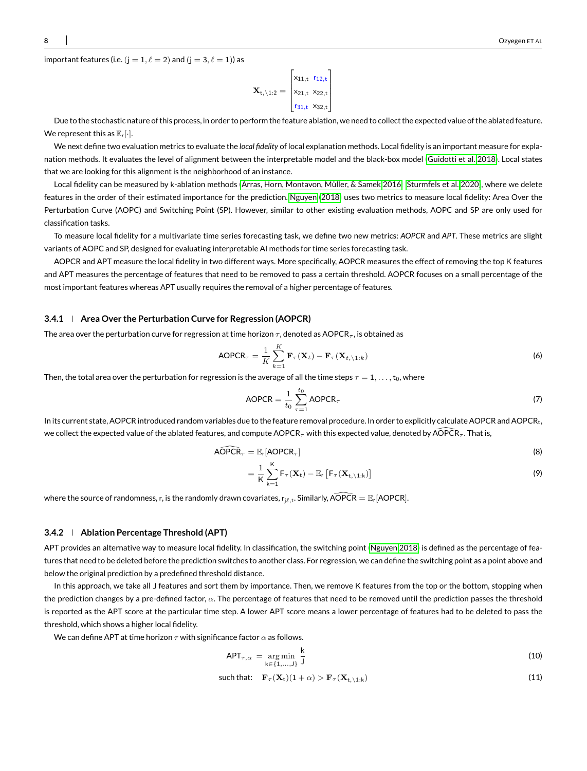important features (i.e. (j = 1,  $\ell$  = 2) and (j = 3,  $\ell$  = 1)) as

$$
\mathbf{X}_{t,\backslash 1:2} = \begin{bmatrix} x_{11,t} & r_{12,t} \\ x_{21,t} & x_{22,t} \\ r_{31,t} & x_{32,t} \end{bmatrix}
$$

Due to the stochastic nature of this process, in order to perform the feature ablation, we need to collect the expected value of the ablated feature. We represent this as  $\mathbb{E}_r[\cdot]$ .

We next define two evaluation metrics to evaluate the *local fidelity* of local explanation methods. Local fidelity is an important measure for explanation methods. It evaluates the level of alignment between the interpretable model and the black-box model [\(Guidotti et al. 2018\)](#page-12-0). Local states that we are looking for this alignment is the neighborhood of an instance.

Local fidelity can be measured by k-ablation methods [\(Arras, Horn, Montavon, Müller, & Samek 2016;](#page-11-12) [Sturmfels et al. 2020\)](#page-12-18), where we delete features in the order of their estimated importance for the prediction. [Nguyen](#page-12-2) [\(2018\)](#page-12-2) uses two metrics to measure local fidelity: Area Over the Perturbation Curve (AOPC) and Switching Point (SP). However, similar to other existing evaluation methods, AOPC and SP are only used for classification tasks.

To measure local fidelity for a multivariate time series forecasting task, we define two new metrics: *AOPCR* and *APT*. These metrics are slight variants of AOPC and SP, designed for evaluating interpretable AI methods for time series forecasting task.

AOPCR and APT measure the local fidelity in two different ways. More specifically, AOPCR measures the effect of removing the top K features and APT measures the percentage of features that need to be removed to pass a certain threshold. AOPCR focuses on a small percentage of the most important features whereas APT usually requires the removal of a higher percentage of features.

### **3.4.1 Area Over the Perturbation Curve for Regression (AOPCR)**

The area over the perturbation curve for regression at time horizon  $\tau$ , denoted as AOPCR<sub> $\tau$ </sub>, is obtained as

$$
AOPCR_{\tau} = \frac{1}{K} \sum_{k=1}^{K} \mathbf{F}_{\tau}(\mathbf{X}_t) - \mathbf{F}_{\tau}(\mathbf{X}_{t, \backslash 1:k})
$$
\n(6)

Then, the total area over the perturbation for regression is the average of all the time steps  $\tau = 1, \ldots, t_0$ , where

AOPCR = 
$$
\frac{1}{t_0} \sum_{\tau=1}^{t_0} \text{AOPCR}_{\tau}
$$
 (7)

In its current state, AOPCR introduced random variables due to the feature removal procedure. In order to explicitly calculate AOPCR and AOPCR<sub>t</sub>, we collect the expected value of the ablated features, and compute AOPCR<sub>τ</sub> with this expected value, denoted by AOPCR<sub>τ</sub>. That is,

$$
\widehat{\text{AOPCR}}_{\tau} = \mathbb{E}_{r}[\text{AOPCR}_{\tau}] \tag{8}
$$

$$
= \frac{1}{K}\sum_{k=1}^{K}F_{\tau}(\mathbf{X}_{t}) - \mathbb{E}_{r}\left[F_{\tau}(\mathbf{X}_{t,\backslash 1:k})\right]
$$
\n(9)

where the source of randomness, r, is the randomly drawn covariates,  $r_{j\ell,t}$ . Similarly,  $\widehat{\text{AOPCR}} = \mathbb{E}_r[\text{AOPCR}]$ .

#### **3.4.2 Ablation Percentage Threshold (APT)**

APT provides an alternative way to measure local fidelity. In classification, the switching point [\(Nguyen 2018\)](#page-12-2) is defined as the percentage of features that need to be deleted before the prediction switches to another class. For regression, we can define the switching point as a point above and below the original prediction by a predefined threshold distance.

In this approach, we take all J features and sort them by importance. Then, we remove K features from the top or the bottom, stopping when the prediction changes by a pre-defined factor,  $\alpha$ . The percentage of features that need to be removed until the prediction passes the threshold is reported as the APT score at the particular time step. A lower APT score means a lower percentage of features had to be deleted to pass the threshold, which shows a higher local fidelity.

We can define APT at time horizon  $\tau$  with significance factor  $\alpha$  as follows.

$$
APT_{\tau,\alpha} = \underset{k \in \{1,\ldots,J\}}{\arg \min} \frac{k}{J} \tag{10}
$$

such that: 
$$
\mathbf{F}_{\tau}(\mathbf{X}_{t})(1+\alpha) > \mathbf{F}_{\tau}(\mathbf{X}_{t,\backslash 1:k})
$$
 (11)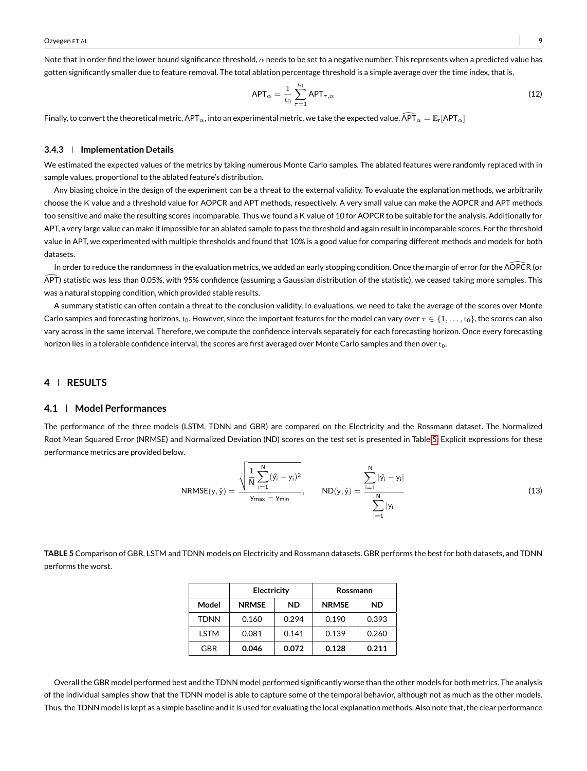Note that in order find the lower bound significance threshold,  $\alpha$  needs to be set to a negative number. This represents when a predicted value has gotten significantly smaller due to feature removal. The total ablation percentage threshold is a simple average over the time index, that is,

$$
APT_{\alpha} = \frac{1}{t_0} \sum_{\tau=1}^{t_0} API_{\tau,\alpha}
$$
 (12)

Finally, to convert the theoretical metric, APT<sub>α</sub>, into an experimental metric, we take the expected value,  $\widehat{APT}_{\alpha} = \mathbb{E}_r[APT_{\alpha}]$ 

#### **3.4.3 Implementation Details**

We estimated the expected values of the metrics by taking numerous Monte Carlo samples. The ablated features were randomly replaced with in sample values, proportional to the ablated feature's distribution.

Any biasing choice in the design of the experiment can be a threat to the external validity. To evaluate the explanation methods, we arbitrarily choose the K value and a threshold value for AOPCR and APT methods, respectively. A very small value can make the AOPCR and APT methods too sensitive and make the resulting scores incomparable. Thus we found a K value of 10 for AOPCR to be suitable for the analysis. Additionally for APT, a very large value can make it impossible for an ablated sample to pass the threshold and again result in incomparable scores. For the threshold value in APT, we experimented with multiple thresholds and found that 10% is a good value for comparing different methods and models for both datasets.

In order to reduce the randomness in the evaluation metrics, we added an early stopping condition. Once the margin of error for the AOPCR (or  $\overline{APT}$ ) statistic was less than 0.05%, with 95% confidence (assuming a Gaussian distribution of the statistic), we ceased taking more samples. This was a natural stopping condition, which provided stable results.

A summary statistic can often contain a threat to the conclusion validity. In evaluations, we need to take the average of the scores over Monte Carlo samples and forecasting horizons, t<sub>0</sub>. However, since the important features for the model can vary over  $\tau \in \{1, \ldots, t_0\}$ , the scores can also vary across in the same interval. Therefore, we compute the confidence intervals separately for each forecasting horizon. Once every forecasting horizon lies in a tolerable confidence interval, the scores are first averaged over Monte Carlo samples and then over  $t_0$ .

# **4 RESULTS**

#### **4.1 Model Performances**

The performance of the three models (LSTM, TDNN and GBR) are compared on the Electricity and the Rossmann dataset. The Normalized Root Mean Squared Error (NRMSE) and Normalized Deviation (ND) scores on the test set is presented in Table [5.](#page-8-0) Explicit expressions for these performance metrics are provided below.

NRMSE(y, 
$$
\hat{y}
$$
) = 
$$
\frac{\sqrt{\frac{1}{N} \sum_{i=1}^{N} (\hat{y}_i - y_i)^2}}{y_{max} - y_{min}}, \qquad ND(y, \hat{y}) = \frac{\sum_{i=1}^{N} |\hat{y}_i - y_i|}{\sum_{i=1}^{N} |y_i|}
$$
(13)

<span id="page-8-0"></span>**TABLE 5** Comparison of GBR, LSTM and TDNN models on Electricity and Rossmann datasets. GBR performs the best for both datasets, and TDNN performs the worst.

|             | Electricity               |       | Rossmann     |       |
|-------------|---------------------------|-------|--------------|-------|
| Model       | <b>NRMSE</b><br><b>ND</b> |       | <b>NRMSE</b> | ND    |
| <b>TDNN</b> | 0.160                     | 0.294 | 0.190        | 0.393 |
| LSTM        | 0.081                     | 0.141 | 0.139        | 0.260 |
| GBR         | 0.046                     | 0.072 | 0.128        | 0.211 |

Overall the GBR model performed best and the TDNN model performed significantly worse than the other models for both metrics. The analysis of the individual samples show that the TDNN model is able to capture some of the temporal behavior, although not as much as the other models. Thus, the TDNN model is kept as a simple baseline and it is used for evaluating the local explanation methods. Also note that, the clear performance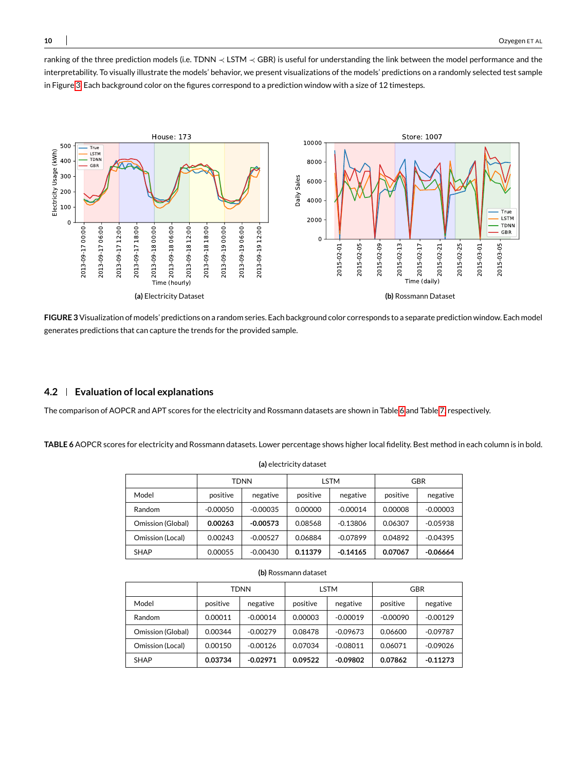ranking of the three prediction models (i.e. TDNN ≺ LSTM ≺ GBR) is useful for understanding the link between the model performance and the interpretability. To visually illustrate the models' behavior, we present visualizations of the models' predictions on a randomly selected test sample in Figure [3.](#page-9-0) Each background color on the figures correspond to a prediction window with a size of 12 timesteps.

<span id="page-9-0"></span>

**FIGURE 3**Visualization of models' predictions on a random series. Each background color corresponds to a separate prediction window. Each model generates predictions that can capture the trends for the provided sample.

# **4.2 Evaluation of local explanations**

The comparison of AOPCR and APT scores for the electricity and Rossmann datasets are shown in Table [6](#page-9-1) and Table [7,](#page-10-0) respectively.

<span id="page-9-1"></span>**TABLE 6** AOPCR scores for electricity and Rossmann datasets. Lower percentage shows higher local fidelity. Best method in each column is in bold.

| (a) electricity dataset |            |             |          |            |          |            |  |
|-------------------------|------------|-------------|----------|------------|----------|------------|--|
|                         |            | <b>TDNN</b> | LSTM     |            | GBR      |            |  |
| Model                   | positive   | negative    | positive | negative   | positive | negative   |  |
| Random                  | $-0.00050$ | $-0.00035$  | 0.00000  | $-0.00014$ | 0.00008  | $-0.00003$ |  |
| Omission (Global)       | 0.00263    | $-0.00573$  | 0.08568  | $-0.13806$ | 0.06307  | $-0.05938$ |  |
| Omission (Local)        | 0.00243    | $-0.00527$  | 0.06884  | $-0.07899$ | 0.04892  | $-0.04395$ |  |
| <b>SHAP</b>             | 0.00055    | $-0.00430$  | 0.11379  | $-0.14165$ | 0.07067  | $-0.06664$ |  |

| Omission (Local)     | 0.00243     | $-0.00527$ | 0.06884     | $-0.07899$ | 0.04892    | $-0.04395$ |
|----------------------|-------------|------------|-------------|------------|------------|------------|
| <b>SHAP</b>          | 0.00055     | $-0.00430$ | 0.11379     | $-0.14165$ | 0.07067    | -0.06664   |
| (b) Rossmann dataset |             |            |             |            |            |            |
|                      | <b>TDNN</b> |            | <b>LSTM</b> |            | GBR        |            |
| Model                | positive    | negative   | positive    | negative   | positive   | negative   |
| Random               | 0.00011     | $-0.00014$ | 0.00003     | $-0.00019$ | $-0.00090$ | $-0.00129$ |
|                      |             |            |             |            |            |            |

Omission (Local) | 0.00150 | -0.00126 | 0.07034 | -0.08011 | 0.06071 | -0.09026 SHAP **0.03734 -0.02971 0.09522 -0.09802 0.07862 -0.11273**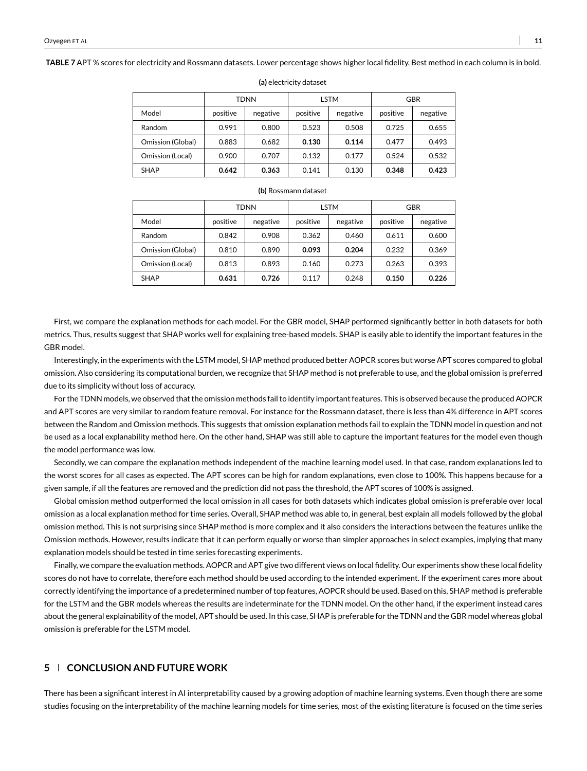<span id="page-10-0"></span>**TABLE 7** APT % scores for electricity and Rossmann datasets. Lower percentage shows higher local fidelity. Best method in each column is in bold.

|                   | TDNN     |          | LSTM     |          | GBR      |          |
|-------------------|----------|----------|----------|----------|----------|----------|
| Model             | positive | negative | positive | negative | positive | negative |
| Random            | 0.991    | 0.800    | 0.523    | 0.508    | 0.725    | 0.655    |
| Omission (Global) | 0.883    | 0.682    | 0.130    | 0.114    | 0.477    | 0.493    |
| Omission (Local)  | 0.900    | 0.707    | 0.132    | 0.177    | 0.524    | 0.532    |
| <b>SHAP</b>       | 0.642    | 0.363    | 0.141    | 0.130    | 0.348    | 0.423    |

**(a)** electricity dataset

#### **(b)** Rossmann dataset

|                   | TDNN     |          | LSTM     |          | <b>GBR</b> |          |
|-------------------|----------|----------|----------|----------|------------|----------|
| Model             | positive | negative | positive | negative | positive   | negative |
| Random            | 0.842    | 0.908    | 0.362    | 0.460    | 0.611      | 0.600    |
| Omission (Global) | 0.810    | 0.890    | 0.093    | 0.204    | 0.232      | 0.369    |
| Omission (Local)  | 0.813    | 0.893    | 0.160    | 0.273    | 0.263      | 0.393    |
| <b>SHAP</b>       | 0.631    | 0.726    | 0.117    | 0.248    | 0.150      | 0.226    |

First, we compare the explanation methods for each model. For the GBR model, SHAP performed significantly better in both datasets for both metrics. Thus, results suggest that SHAP works well for explaining tree-based models. SHAP is easily able to identify the important features in the GBR model.

Interestingly, in the experiments with the LSTM model, SHAP method produced better AOPCR scores but worse APT scores compared to global omission. Also considering its computational burden, we recognize that SHAP method is not preferable to use, and the global omission is preferred due to its simplicity without loss of accuracy.

For the TDNN models, we observed that the omission methods fail to identify important features. This is observed because the produced AOPCR and APT scores are very similar to random feature removal. For instance for the Rossmann dataset, there is less than 4% difference in APT scores between the Random and Omission methods. This suggests that omission explanation methods fail to explain the TDNN model in question and not be used as a local explanability method here. On the other hand, SHAP was still able to capture the important features for the model even though the model performance was low.

Secondly, we can compare the explanation methods independent of the machine learning model used. In that case, random explanations led to the worst scores for all cases as expected. The APT scores can be high for random explanations, even close to 100%. This happens because for a given sample, if all the features are removed and the prediction did not pass the threshold, the APT scores of 100% is assigned.

Global omission method outperformed the local omission in all cases for both datasets which indicates global omission is preferable over local omission as a local explanation method for time series. Overall, SHAP method was able to, in general, best explain all models followed by the global omission method. This is not surprising since SHAP method is more complex and it also considers the interactions between the features unlike the Omission methods. However, results indicate that it can perform equally or worse than simpler approaches in select examples, implying that many explanation models should be tested in time series forecasting experiments.

Finally, we compare the evaluation methods. AOPCR and APT give two different views on local fidelity. Our experiments show these local fidelity scores do not have to correlate, therefore each method should be used according to the intended experiment. If the experiment cares more about correctly identifying the importance of a predetermined number of top features, AOPCR should be used. Based on this, SHAP method is preferable for the LSTM and the GBR models whereas the results are indeterminate for the TDNN model. On the other hand, if the experiment instead cares about the general explainability of the model, APT should be used. In this case, SHAP is preferable for the TDNN and the GBR model whereas global omission is preferable for the LSTM model.

# **5 CONCLUSION AND FUTURE WORK**

There has been a significant interest in AI interpretability caused by a growing adoption of machine learning systems. Even though there are some studies focusing on the interpretability of the machine learning models for time series, most of the existing literature is focused on the time series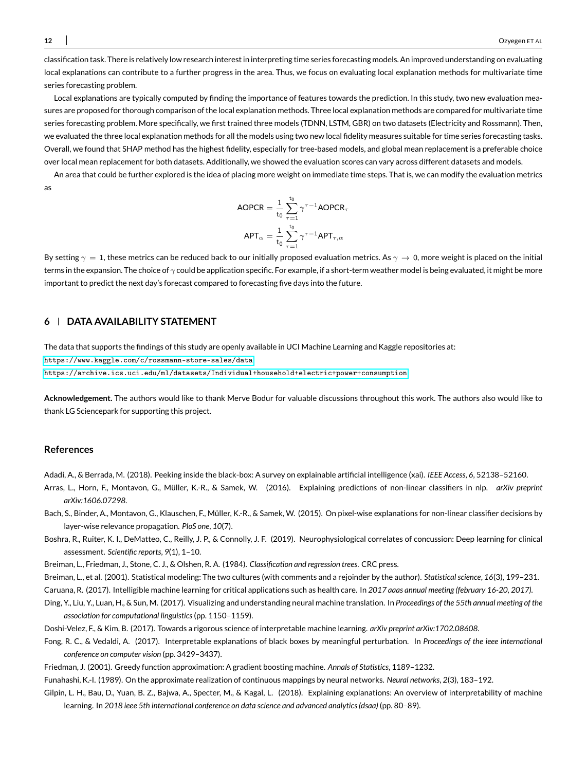classification task. There is relatively low research interest in interpreting time series forecasting models. An improved understanding on evaluating local explanations can contribute to a further progress in the area. Thus, we focus on evaluating local explanation methods for multivariate time series forecasting problem.

Local explanations are typically computed by finding the importance of features towards the prediction. In this study, two new evaluation measures are proposed for thorough comparison of the local explanation methods. Three local explanation methods are compared for multivariate time series forecasting problem. More specifically, we first trained three models (TDNN, LSTM, GBR) on two datasets (Electricity and Rossmann). Then, we evaluated the three local explanation methods for all the models using two new local fidelity measures suitable for time series forecasting tasks. Overall, we found that SHAP method has the highest fidelity, especially for tree-based models, and global mean replacement is a preferable choice over local mean replacement for both datasets. Additionally, we showed the evaluation scores can vary across different datasets and models.

An area that could be further explored is the idea of placing more weight on immediate time steps. That is, we can modify the evaluation metrics as

$$
\text{AOPCR} = \frac{1}{t_0} \sum_{\tau=1}^{t_0} \gamma^{\tau-1} \text{AOPCR}_{\tau}
$$
\n
$$
\text{APT}_{\alpha} = \frac{1}{t_0} \sum_{\tau=1}^{t_0} \gamma^{\tau-1} \text{APT}_{\tau,\alpha}
$$

By setting  $\gamma = 1$ , these metrics can be reduced back to our initially proposed evaluation metrics. As  $\gamma \to 0$ , more weight is placed on the initial terms in the expansion. The choice of  $\gamma$  could be application specific. For example, if a short-term weather model is being evaluated, it might be more important to predict the next day's forecast compared to forecasting five days into the future.

# **6 DATA AVAILABILITY STATEMENT**

The data that supports the findings of this study are openly available in UCI Machine Learning and Kaggle repositories at:

<https://www.kaggle.com/c/rossmann-store-sales/data>

<https://archive.ics.uci.edu/ml/datasets/Individual+household+electric+power+consumption>

**Acknowledgement.** The authors would like to thank Merve Bodur for valuable discussions throughout this work. The authors also would like to thank LG Sciencepark for supporting this project.

# **References**

<span id="page-11-1"></span>Adadi, A., & Berrada, M. (2018). Peeking inside the black-box: A survey on explainable artificial intelligence (xai). *IEEE Access*, *6*, 52138–52160.

- <span id="page-11-12"></span>Arras, L., Horn, F., Montavon, G., Müller, K.-R., & Samek, W. (2016). Explaining predictions of non-linear classifiers in nlp. *arXiv preprint arXiv:1606.07298*.
- <span id="page-11-8"></span>Bach, S., Binder, A., Montavon, G., Klauschen, F., Müller, K.-R., & Samek, W. (2015). On pixel-wise explanations for non-linear classifier decisions by layer-wise relevance propagation. *PloS one*, *10*(7).
- <span id="page-11-4"></span>Boshra, R., Ruiter, K. I., DeMatteo, C., Reilly, J. P., & Connolly, J. F. (2019). Neurophysiological correlates of concussion: Deep learning for clinical assessment. *Scientific reports*, *9*(1), 1–10.
- <span id="page-11-11"></span><span id="page-11-6"></span>Breiman, L., Friedman, J., Stone, C. J., & Olshen, R. A. (1984). *Classification and regression trees*. CRC press.
- Breiman, L., et al. (2001). Statistical modeling: The two cultures (with comments and a rejoinder by the author). *Statistical science*, *16*(3), 199–231.

<span id="page-11-5"></span><span id="page-11-0"></span>Caruana, R. (2017). Intelligible machine learning for critical applications such as health care. In *2017 aaas annual meeting (february 16-20, 2017).*

- Ding, Y., Liu, Y., Luan, H., & Sun, M. (2017). Visualizing and understanding neural machine translation. In *Proceedings of the 55th annual meeting of the association for computational linguistics*(pp. 1150–1159).
- <span id="page-11-2"></span>Doshi-Velez, F., & Kim, B. (2017). Towards a rigorous science of interpretable machine learning. *arXiv preprint arXiv:1702.08608*.
- <span id="page-11-7"></span>Fong, R. C., & Vedaldi, A. (2017). Interpretable explanations of black boxes by meaningful perturbation. In *Proceedings of the ieee international conference on computer vision* (pp. 3429–3437).
- <span id="page-11-10"></span><span id="page-11-9"></span>Friedman, J. (2001). Greedy function approximation: A gradient boosting machine. *Annals of Statistics*, 1189–1232.

<span id="page-11-3"></span>Funahashi, K.-I. (1989). On the approximate realization of continuous mappings by neural networks. *Neural networks*, *2*(3), 183–192.

Gilpin, L. H., Bau, D., Yuan, B. Z., Bajwa, A., Specter, M., & Kagal, L. (2018). Explaining explanations: An overview of interpretability of machine learning. In *2018 ieee 5th international conference on data science and advanced analytics (dsaa)* (pp. 80–89).